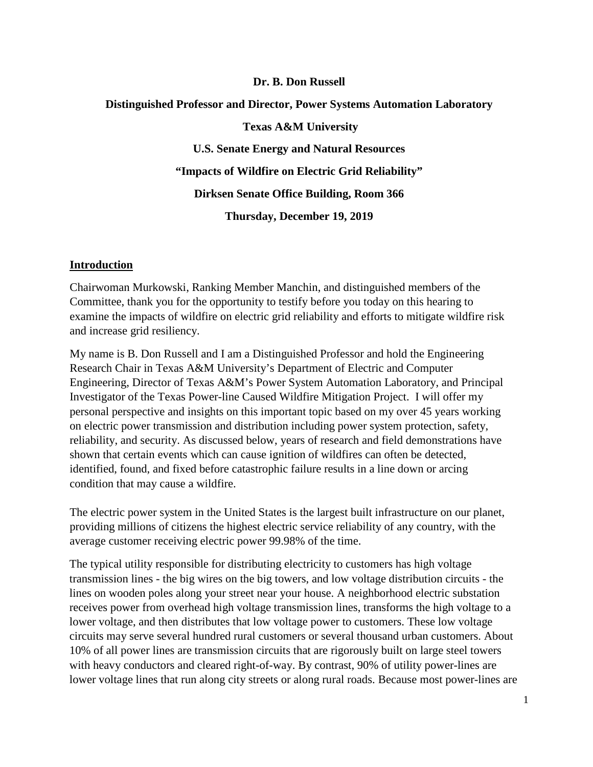#### **Dr. B. Don Russell**

### **Distinguished Professor and Director, Power Systems Automation Laboratory**

**Texas A&M University U.S. Senate Energy and Natural Resources "Impacts of Wildfire on Electric Grid Reliability" Dirksen Senate Office Building, Room 366 Thursday, December 19, 2019**

#### **Introduction**

Chairwoman Murkowski, Ranking Member Manchin, and distinguished members of the Committee, thank you for the opportunity to testify before you today on this hearing to examine the impacts of wildfire on electric grid reliability and efforts to mitigate wildfire risk and increase grid resiliency.

My name is B. Don Russell and I am a Distinguished Professor and hold the Engineering Research Chair in Texas A&M University's Department of Electric and Computer Engineering, Director of Texas A&M's Power System Automation Laboratory, and Principal Investigator of the Texas Power-line Caused Wildfire Mitigation Project. I will offer my personal perspective and insights on this important topic based on my over 45 years working on electric power transmission and distribution including power system protection, safety, reliability, and security. As discussed below, years of research and field demonstrations have shown that certain events which can cause ignition of wildfires can often be detected, identified, found, and fixed before catastrophic failure results in a line down or arcing condition that may cause a wildfire.

The electric power system in the United States is the largest built infrastructure on our planet, providing millions of citizens the highest electric service reliability of any country, with the average customer receiving electric power 99.98% of the time.

The typical utility responsible for distributing electricity to customers has high voltage transmission lines - the big wires on the big towers, and low voltage distribution circuits - the lines on wooden poles along your street near your house. A neighborhood electric substation receives power from overhead high voltage transmission lines, transforms the high voltage to a lower voltage, and then distributes that low voltage power to customers. These low voltage circuits may serve several hundred rural customers or several thousand urban customers. About 10% of all power lines are transmission circuits that are rigorously built on large steel towers with heavy conductors and cleared right-of-way. By contrast, 90% of utility power-lines are lower voltage lines that run along city streets or along rural roads. Because most power-lines are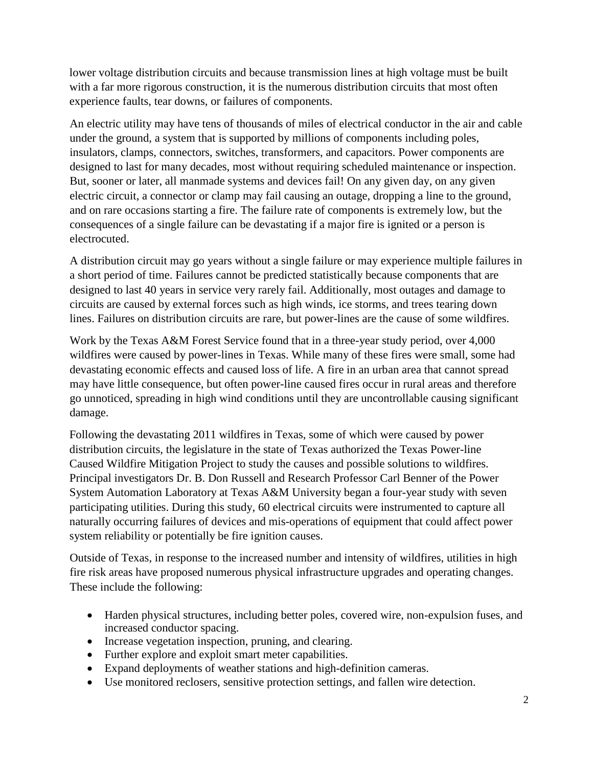lower voltage distribution circuits and because transmission lines at high voltage must be built with a far more rigorous construction, it is the numerous distribution circuits that most often experience faults, tear downs, or failures of components.

An electric utility may have tens of thousands of miles of electrical conductor in the air and cable under the ground, a system that is supported by millions of components including poles, insulators, clamps, connectors, switches, transformers, and capacitors. Power components are designed to last for many decades, most without requiring scheduled maintenance or inspection. But, sooner or later, all manmade systems and devices fail! On any given day, on any given electric circuit, a connector or clamp may fail causing an outage, dropping a line to the ground, and on rare occasions starting a fire. The failure rate of components is extremely low, but the consequences of a single failure can be devastating if a major fire is ignited or a person is electrocuted.

A distribution circuit may go years without a single failure or may experience multiple failures in a short period of time. Failures cannot be predicted statistically because components that are designed to last 40 years in service very rarely fail. Additionally, most outages and damage to circuits are caused by external forces such as high winds, ice storms, and trees tearing down lines. Failures on distribution circuits are rare, but power-lines are the cause of some wildfires.

Work by the Texas A&M Forest Service found that in a three-year study period, over 4,000 wildfires were caused by power-lines in Texas. While many of these fires were small, some had devastating economic effects and caused loss of life. A fire in an urban area that cannot spread may have little consequence, but often power-line caused fires occur in rural areas and therefore go unnoticed, spreading in high wind conditions until they are uncontrollable causing significant damage.

Following the devastating 2011 wildfires in Texas, some of which were caused by power distribution circuits, the legislature in the state of Texas authorized the Texas Power-line Caused Wildfire Mitigation Project to study the causes and possible solutions to wildfires. Principal investigators Dr. B. Don Russell and Research Professor Carl Benner of the Power System Automation Laboratory at Texas A&M University began a four-year study with seven participating utilities. During this study, 60 electrical circuits were instrumented to capture all naturally occurring failures of devices and mis-operations of equipment that could affect power system reliability or potentially be fire ignition causes.

Outside of Texas, in response to the increased number and intensity of wildfires, utilities in high fire risk areas have proposed numerous physical infrastructure upgrades and operating changes. These include the following:

- Harden physical structures, including better poles, covered wire, non-expulsion fuses, and increased conductor spacing.
- Increase vegetation inspection, pruning, and clearing.
- Further explore and exploit smart meter capabilities.
- Expand deployments of weather stations and high-definition cameras.
- Use monitored reclosers, sensitive protection settings, and fallen wire detection.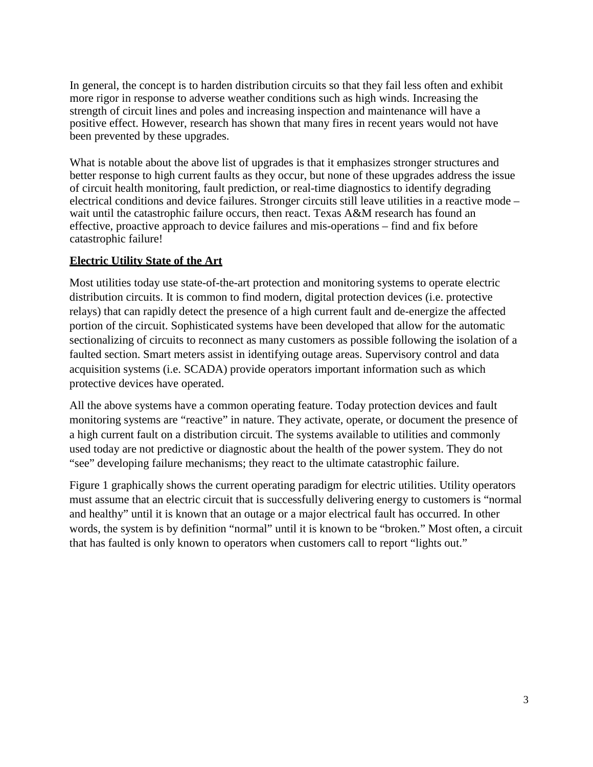In general, the concept is to harden distribution circuits so that they fail less often and exhibit more rigor in response to adverse weather conditions such as high winds. Increasing the strength of circuit lines and poles and increasing inspection and maintenance will have a positive effect. However, research has shown that many fires in recent years would not have been prevented by these upgrades.

What is notable about the above list of upgrades is that it emphasizes stronger structures and better response to high current faults as they occur, but none of these upgrades address the issue of circuit health monitoring, fault prediction, or real-time diagnostics to identify degrading electrical conditions and device failures. Stronger circuits still leave utilities in a reactive mode – wait until the catastrophic failure occurs, then react. Texas A&M research has found an effective, proactive approach to device failures and mis-operations – find and fix before catastrophic failure!

## **Electric Utility State of the Art**

Most utilities today use state-of-the-art protection and monitoring systems to operate electric distribution circuits. It is common to find modern, digital protection devices (i.e. protective relays) that can rapidly detect the presence of a high current fault and de-energize the affected portion of the circuit. Sophisticated systems have been developed that allow for the automatic sectionalizing of circuits to reconnect as many customers as possible following the isolation of a faulted section. Smart meters assist in identifying outage areas. Supervisory control and data acquisition systems (i.e. SCADA) provide operators important information such as which protective devices have operated.

All the above systems have a common operating feature. Today protection devices and fault monitoring systems are "reactive" in nature. They activate, operate, or document the presence of a high current fault on a distribution circuit. The systems available to utilities and commonly used today are not predictive or diagnostic about the health of the power system. They do not "see" developing failure mechanisms; they react to the ultimate catastrophic failure.

Figure 1 graphically shows the current operating paradigm for electric utilities. Utility operators must assume that an electric circuit that is successfully delivering energy to customers is "normal and healthy" until it is known that an outage or a major electrical fault has occurred. In other words, the system is by definition "normal" until it is known to be "broken." Most often, a circuit that has faulted is only known to operators when customers call to report "lights out."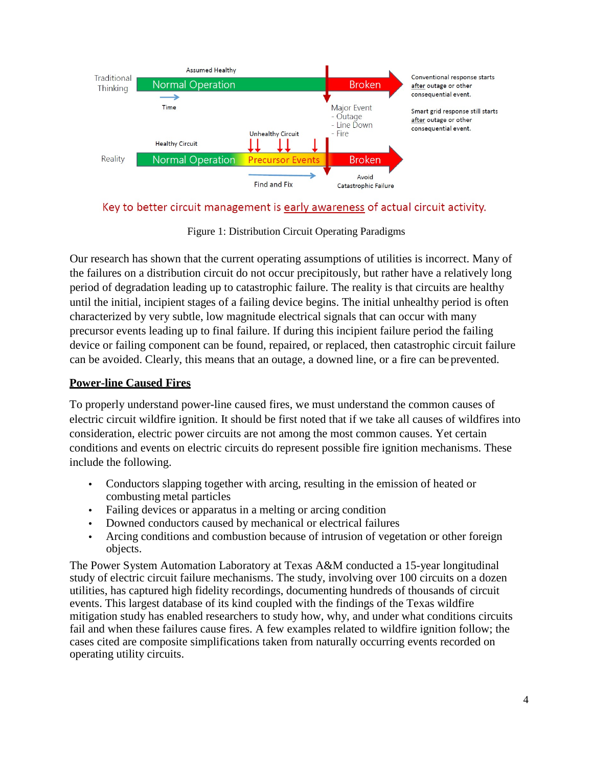

Key to better circuit management is early awareness of actual circuit activity.

Figure 1: Distribution Circuit Operating Paradigms

Our research has shown that the current operating assumptions of utilities is incorrect. Many of the failures on a distribution circuit do not occur precipitously, but rather have a relatively long period of degradation leading up to catastrophic failure. The reality is that circuits are healthy until the initial, incipient stages of a failing device begins. The initial unhealthy period is often characterized by very subtle, low magnitude electrical signals that can occur with many precursor events leading up to final failure. If during this incipient failure period the failing device or failing component can be found, repaired, or replaced, then catastrophic circuit failure can be avoided. Clearly, this means that an outage, a downed line, or a fire can be prevented.

# **Power-line Caused Fires**

To properly understand power-line caused fires, we must understand the common causes of electric circuit wildfire ignition. It should be first noted that if we take all causes of wildfires into consideration, electric power circuits are not among the most common causes. Yet certain conditions and events on electric circuits do represent possible fire ignition mechanisms. These include the following.

- Conductors slapping together with arcing, resulting in the emission of heated or combusting metal particles
- Failing devices or apparatus in a melting or arcing condition
- Downed conductors caused by mechanical or electrical failures
- Arcing conditions and combustion because of intrusion of vegetation or other foreign objects.

The Power System Automation Laboratory at Texas A&M conducted a 15-year longitudinal study of electric circuit failure mechanisms. The study, involving over 100 circuits on a dozen utilities, has captured high fidelity recordings, documenting hundreds of thousands of circuit events. This largest database of its kind coupled with the findings of the Texas wildfire mitigation study has enabled researchers to study how, why, and under what conditions circuits fail and when these failures cause fires. A few examples related to wildfire ignition follow; the cases cited are composite simplifications taken from naturally occurring events recorded on operating utility circuits.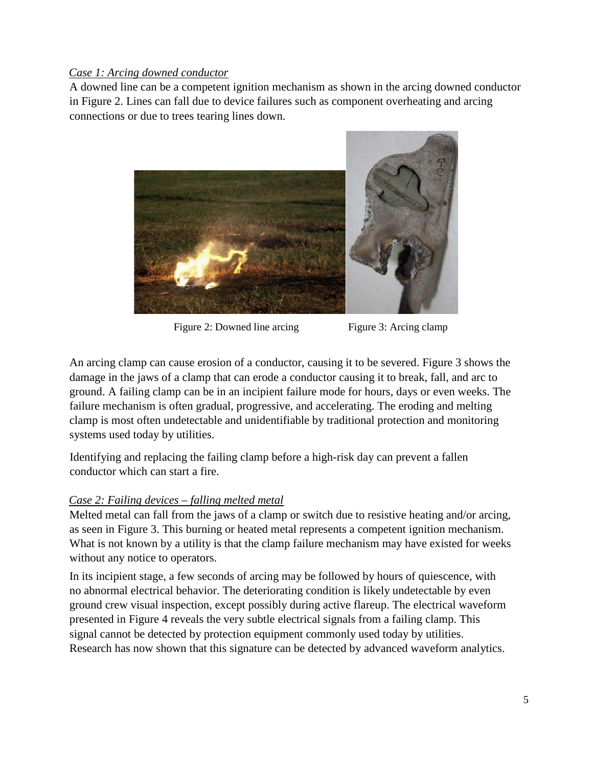## *Case 1: Arcing downed conductor*

A downed line can be a competent ignition mechanism as shown in the arcing downed conductor in Figure 2. Lines can fall due to device failures such as component overheating and arcing connections or due to trees tearing lines down.



Figure 2: Downed line arcing Figure 3: Arcing clamp

An arcing clamp can cause erosion of a conductor, causing it to be severed. Figure 3 shows the damage in the jaws of a clamp that can erode a conductor causing it to break, fall, and arc to ground. A failing clamp can be in an incipient failure mode for hours, days or even weeks. The failure mechanism is often gradual, progressive, and accelerating. The eroding and melting clamp is most often undetectable and unidentifiable by traditional protection and monitoring systems used today by utilities.

Identifying and replacing the failing clamp before a high-risk day can prevent a fallen conductor which can start a fire.

## *Case 2: Failing devices – falling melted metal*

Melted metal can fall from the jaws of a clamp or switch due to resistive heating and/or arcing, as seen in Figure 3. This burning or heated metal represents a competent ignition mechanism. What is not known by a utility is that the clamp failure mechanism may have existed for weeks without any notice to operators.

In its incipient stage, a few seconds of arcing may be followed by hours of quiescence, with no abnormal electrical behavior. The deteriorating condition is likely undetectable by even ground crew visual inspection, except possibly during active flareup. The electrical waveform presented in Figure 4 reveals the very subtle electrical signals from a failing clamp. This signal cannot be detected by protection equipment commonly used today by utilities. Research has now shown that this signature can be detected by advanced waveform analytics.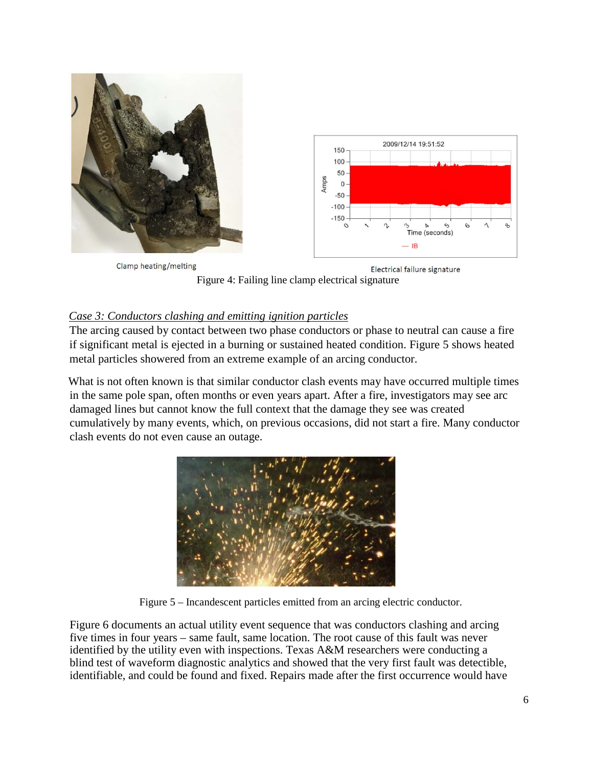

Figure 4: Failing line clamp electrical signature

# *Case 3: Conductors clashing and emitting ignition particles*

The arcing caused by contact between two phase conductors or phase to neutral can cause a fire if significant metal is ejected in a burning or sustained heated condition. Figure 5 shows heated metal particles showered from an extreme example of an arcing conductor.

What is not often known is that similar conductor clash events may have occurred multiple times in the same pole span, often months or even years apart. After a fire, investigators may see arc damaged lines but cannot know the full context that the damage they see was created cumulatively by many events, which, on previous occasions, did not start a fire. Many conductor clash events do not even cause an outage.



Figure 5 – Incandescent particles emitted from an arcing electric conductor.

Figure 6 documents an actual utility event sequence that was conductors clashing and arcing five times in four years – same fault, same location. The root cause of this fault was never identified by the utility even with inspections. Texas A&M researchers were conducting a blind test of waveform diagnostic analytics and showed that the very first fault was detectible, identifiable, and could be found and fixed. Repairs made after the first occurrence would have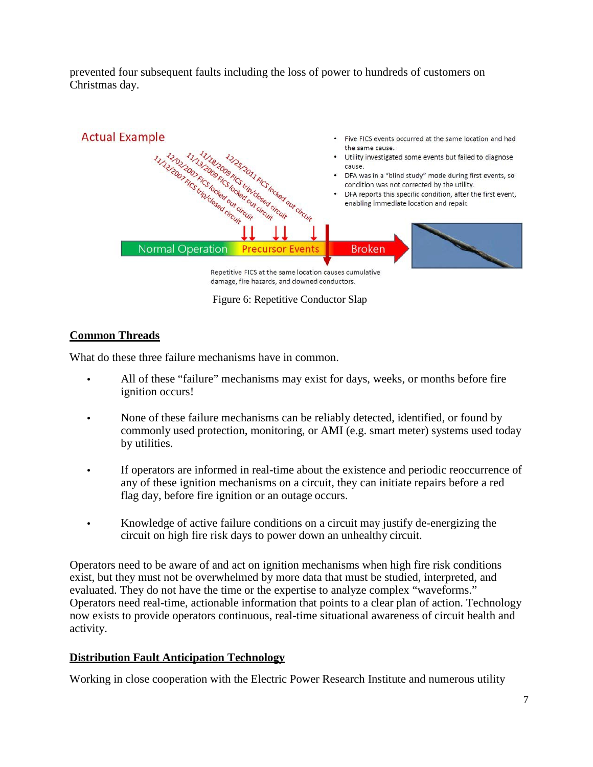prevented four subsequent faults including the loss of power to hundreds of customers on Christmas day.



Figure 6: Repetitive Conductor Slap

# **Common Threads**

What do these three failure mechanisms have in common.

- All of these "failure" mechanisms may exist for days, weeks, or months before fire ignition occurs!
- None of these failure mechanisms can be reliably detected, identified, or found by commonly used protection, monitoring, or AMI (e.g. smart meter) systems used today by utilities.
- If operators are informed in real-time about the existence and periodic reoccurrence of any of these ignition mechanisms on a circuit, they can initiate repairs before a red flag day, before fire ignition or an outage occurs.
- Knowledge of active failure conditions on a circuit may justify de-energizing the circuit on high fire risk days to power down an unhealthy circuit.

Operators need to be aware of and act on ignition mechanisms when high fire risk conditions exist, but they must not be overwhelmed by more data that must be studied, interpreted, and evaluated. They do not have the time or the expertise to analyze complex "waveforms." Operators need real-time, actionable information that points to a clear plan of action. Technology now exists to provide operators continuous, real-time situational awareness of circuit health and activity.

## **Distribution Fault Anticipation Technology**

Working in close cooperation with the Electric Power Research Institute and numerous utility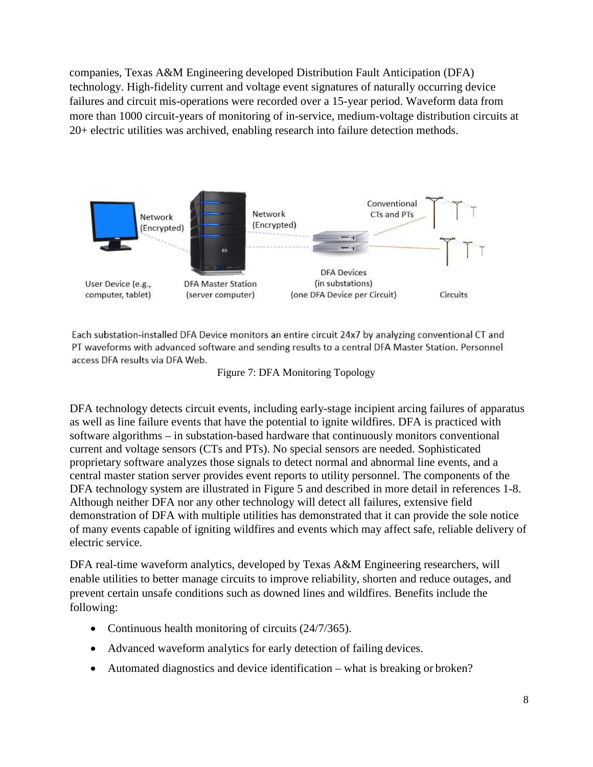companies, Texas A&M Engineering developed Distribution Fault Anticipation (DFA) technology. High-fidelity current and voltage event signatures of naturally occurring device failures and circuit mis-operations were recorded over a 15-year period. Waveform data from more than 1000 circuit-years of monitoring of in-service, medium-voltage distribution circuits at 20+ electric utilities was archived, enabling research into failure detection methods.



Each substation-installed DFA Device monitors an entire circuit 24x7 by analyzing conventional CT and PT waveforms with advanced software and sending results to a central DFA Master Station. Personnel access DFA results via DFA Web.

Figure 7: DFA Monitoring Topology

DFA technology detects circuit events, including early-stage incipient arcing failures of apparatus as well as line failure events that have the potential to ignite wildfires. DFA is practiced with software algorithms – in substation-based hardware that continuously monitors conventional current and voltage sensors (CTs and PTs). No special sensors are needed. Sophisticated proprietary software analyzes those signals to detect normal and abnormal line events, and a central master station server provides event reports to utility personnel. The components of the DFA technology system are illustrated in Figure 5 and described in more detail in references 1-8. Although neither DFA nor any other technology will detect all failures, extensive field demonstration of DFA with multiple utilities has demonstrated that it can provide the sole notice of many events capable of igniting wildfires and events which may affect safe, reliable delivery of electric service.

DFA real-time waveform analytics, developed by Texas A&M Engineering researchers, will enable utilities to better manage circuits to improve reliability, shorten and reduce outages, and prevent certain unsafe conditions such as downed lines and wildfires. Benefits include the following:

- Continuous health monitoring of circuits (24/7/365).
- Advanced waveform analytics for early detection of failing devices.
- Automated diagnostics and device identification what is breaking or broken?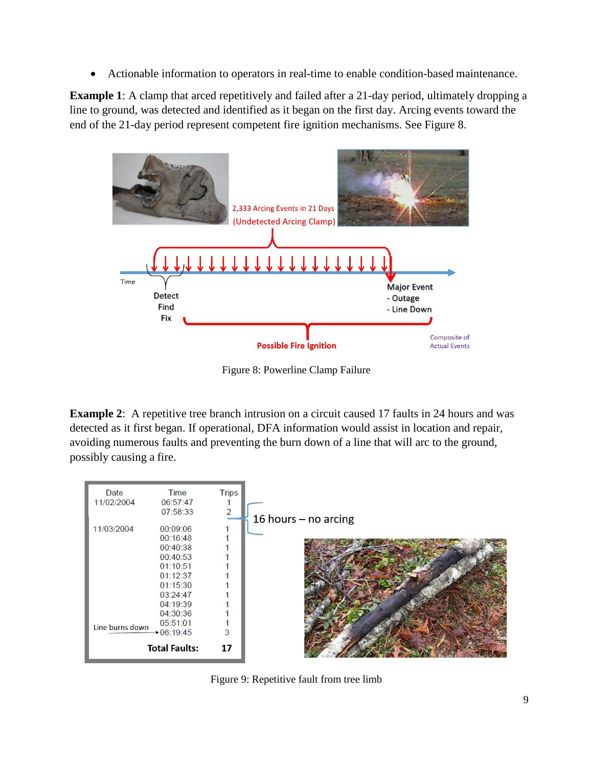• Actionable information to operators in real-time to enable condition-based maintenance.

**Example 1**: A clamp that arced repetitively and failed after a 21-day period, ultimately dropping a line to ground, was detected and identified as it began on the first day. Arcing events toward the end of the 21-day period represent competent fire ignition mechanisms. See Figure 8.



Figure 8: Powerline Clamp Failure

**Example 2**: A repetitive tree branch intrusion on a circuit caused 17 faults in 24 hours and was detected as it first began. If operational, DFA information would assist in location and repair, avoiding numerous faults and preventing the burn down of a line that will arc to the ground, possibly causing a fire.



Figure 9: Repetitive fault from tree limb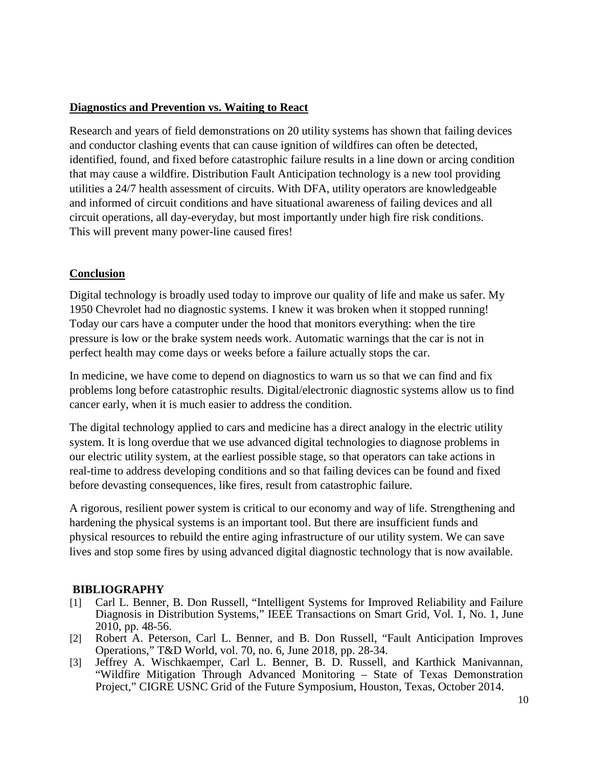### **Diagnostics and Prevention vs. Waiting to React**

Research and years of field demonstrations on 20 utility systems has shown that failing devices and conductor clashing events that can cause ignition of wildfires can often be detected, identified, found, and fixed before catastrophic failure results in a line down or arcing condition that may cause a wildfire. Distribution Fault Anticipation technology is a new tool providing utilities a 24/7 health assessment of circuits. With DFA, utility operators are knowledgeable and informed of circuit conditions and have situational awareness of failing devices and all circuit operations, all day-everyday, but most importantly under high fire risk conditions. This will prevent many power-line caused fires!

## **Conclusion**

Digital technology is broadly used today to improve our quality of life and make us safer. My 1950 Chevrolet had no diagnostic systems. I knew it was broken when it stopped running! Today our cars have a computer under the hood that monitors everything: when the tire pressure is low or the brake system needs work. Automatic warnings that the car is not in perfect health may come days or weeks before a failure actually stops the car.

In medicine, we have come to depend on diagnostics to warn us so that we can find and fix problems long before catastrophic results. Digital/electronic diagnostic systems allow us to find cancer early, when it is much easier to address the condition.

The digital technology applied to cars and medicine has a direct analogy in the electric utility system. It is long overdue that we use advanced digital technologies to diagnose problems in our electric utility system, at the earliest possible stage, so that operators can take actions in real-time to address developing conditions and so that failing devices can be found and fixed before devasting consequences, like fires, result from catastrophic failure.

A rigorous, resilient power system is critical to our economy and way of life. Strengthening and hardening the physical systems is an important tool. But there are insufficient funds and physical resources to rebuild the entire aging infrastructure of our utility system. We can save lives and stop some fires by using advanced digital diagnostic technology that is now available.

## **BIBLIOGRAPHY**

- [1] Carl L. Benner, B. Don Russell, "Intelligent Systems for Improved Reliability and Failure Diagnosis in Distribution Systems," IEEE Transactions on Smart Grid, Vol. 1, No. 1, June 2010, pp. 48-56.
- [2] Robert A. Peterson, Carl L. Benner, and B. Don Russell, "Fault Anticipation Improves Operations," T&D World, vol. 70, no. 6, June 2018, pp. 28-34.
- [3] Jeffrey A. Wischkaemper, Carl L. Benner, B. D. Russell, and Karthick Manivannan, "Wildfire Mitigation Through Advanced Monitoring – State of Texas Demonstration Project," CIGRE USNC Grid of the Future Symposium, Houston, Texas, October 2014.